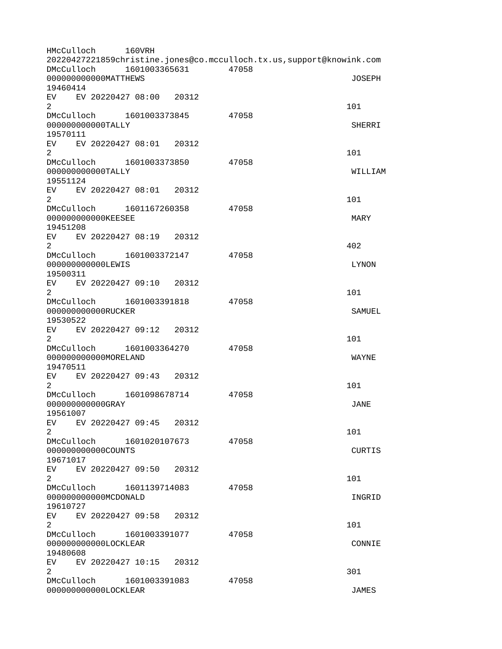HMcCulloch 160VRH 20220427221859christine.jones@co.mcculloch.tx.us,support@knowink.com DMcCulloch 1601003365631 47058 000000000000MATTHEWS JOSEPH 19460414 EV EV 20220427 08:00 20312  $2 \t 101$ DMcCulloch 1601003373845 47058 000000000000TALLY SHERRI 19570111 EV EV 20220427 08:01 20312  $2 \t 101$ DMcCulloch 1601003373850 47058 000000000000TALLY WILLIAM 19551124 EV EV 20220427 08:01 20312  $2 \t 101$ DMcCulloch 1601167260358 47058 000000000000KEESEE MARY 19451208 EV EV 20220427 08:19 20312  $2^{402}$ DMcCulloch 1601003372147 47058 000000000000LEWIS LYNON 19500311 EV EV 20220427 09:10 20312  $2 \t 101$ DMcCulloch 1601003391818 47058 000000000000RUCKER SAMUEL 19530522 EV EV 20220427 09:12 20312  $2 \t 101$ DMcCulloch 1601003364270 47058 000000000000MORELAND WAYNE 19470511 EV EV 20220427 09:43 20312  $2 \t 101$ DMcCulloch 1601098678714 47058 000000000000GRAY JANE 19561007 EV EV 20220427 09:45 20312  $2 \t 101$ DMcCulloch 1601020107673 47058 000000000000COUNTS CURTIS 19671017 EV EV 20220427 09:50 20312  $2 \t 101$ DMcCulloch 1601139714083 47058 000000000000MCDONALD INGRID 19610727 EV EV 20220427 09:58 20312  $2 \t 101$ DMcCulloch 1601003391077 47058 000000000000LOCKLEAR CONNIE 19480608 EV EV 20220427 10:15 20312  $2\,$ DMcCulloch 1601003391083 47058 000000000000LOCKLEAR JAMES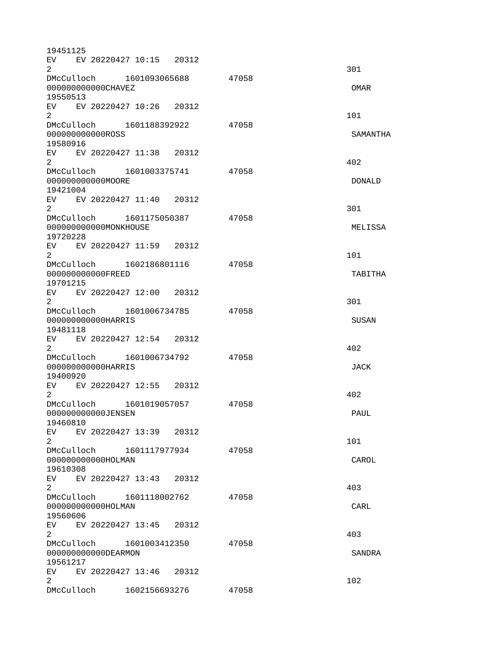19451125 EV EV 20220427 10:15 20312  $2\,$ DMcCulloch 1601093065688 47058 000000000000CHAVEZ OMAR 19550513 EV EV 20220427 10:26 20312  $2 \t 101$ DMcCulloch 1601188392922 47058 000000000000ROSS SAMANTHA 19580916 EV EV 20220427 11:38 20312  $2^{402}$ DMcCulloch 1601003375741 47058 000000000000MOORE DONALD 19421004 EV EV 20220427 11:40 20312  $2\,$ DMcCulloch 1601175050387 47058 000000000000MONKHOUSE MELISSA 19720228 EV EV 20220427 11:59 20312  $2 \t 101$ DMcCulloch 1602186801116 47058 0000000000000FREED TABITHA 19701215 EV EV 20220427 12:00 20312  $2\,$ DMcCulloch 1601006734785 47058 000000000000HARRIS SUSAN 19481118 EV EV 20220427 12:54 20312  $2^{402}$ DMcCulloch 1601006734792 47058 000000000000HARRIS JACK 19400920 EV EV 20220427 12:55 20312  $2^{402}$ DMcCulloch 1601019057057 47058 000000000000JENSEN PAUL 19460810 EV EV 20220427 13:39 20312  $2 \t 101$ DMcCulloch 1601117977934 47058 0000000000000HOLMAN CAROL 19610308 EV EV 20220427 13:43 20312  $2^{403}$ DMcCulloch 1601118002762 47058 00000000000000HOLMAN CARL 3000000000HOLMAN 19560606 EV EV 20220427 13:45 20312  $2^{403}$ DMcCulloch 1601003412350 47058 000000000000DEARMON SANDRA 19561217 EV EV 20220427 13:46 20312  $2 \times 102$ DMcCulloch 1602156693276 47058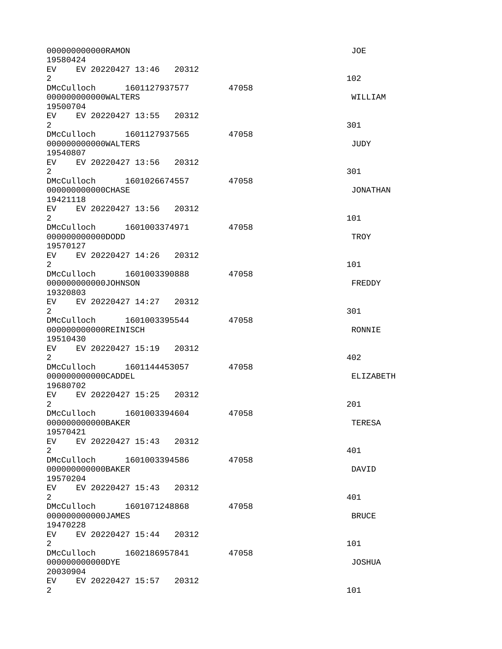| 19580424                    | 000000000000RAMON    |                            |                                  |       | JOE             |
|-----------------------------|----------------------|----------------------------|----------------------------------|-------|-----------------|
| $\overline{2}$              |                      | EV EV 20220427 13:46 20312 |                                  |       | 102             |
| 19500704                    | 000000000000WALTERS  |                            | DMcCulloch 1601127937577 47058   |       | WILLIAM         |
| $\overline{2}$              |                      | EV EV 20220427 13:55 20312 |                                  |       | 301             |
| 19540807                    | 000000000000WALTERS  |                            | DMcCulloch 1601127937565 47058   |       | <b>JUDY</b>     |
| $\overline{2}$              |                      | EV EV 20220427 13:56 20312 |                                  |       | 301             |
| 19421118                    | 00000000000CHASE     | DMcCulloch 1601026674557   |                                  | 47058 | <b>JONATHAN</b> |
| $\overline{2}$              |                      | EV EV 20220427 13:56 20312 |                                  |       | 101             |
| 19570127                    | 0000000000000DD      |                            | DMcCulloch 1601003374971 47058   |       | <b>TROY</b>     |
| $\overline{2}$              |                      | EV EV 20220427 14:26 20312 |                                  |       | 101             |
| 19320803                    | 000000000000JOHNSON  | DMcCulloch 1601003390888   |                                  | 47058 | FREDDY          |
| $\overline{2}$              |                      | EV EV 20220427 14:27 20312 |                                  |       | 301             |
| 19510430                    | 000000000000REINISCH |                            |                                  | 47058 | RONNIE          |
| 2 <sup>1</sup>              |                      | EV EV 20220427 15:19 20312 |                                  |       | 402             |
| 19680702                    | 000000000000CADDEL   |                            | DMcCulloch  1601144453057  47058 |       | ELIZABETH       |
| <b>EV</b><br>$\overline{2}$ |                      | EV 20220427 15:25 20312    |                                  |       | 201             |
| 19570421                    | 000000000000BAKER    | DMcCulloch 1601003394604   |                                  | 47058 | <b>TERESA</b>   |
| $2^{\circ}$                 |                      | EV EV 20220427 15:43 20312 |                                  |       | 401             |
| 19570204                    | 000000000000BAKER    |                            | DMcCulloch 1601003394586 47058   |       | DAVID           |
| EV<br>$\overline{2}$        |                      | EV 20220427 15:43 20312    |                                  |       | 401             |
| 19470228                    | 000000000000JAMES    | DMcCulloch 1601071248868   |                                  | 47058 | <b>BRUCE</b>    |
| 2 <sup>1</sup>              |                      | EV EV 20220427 15:44 20312 |                                  |       | 101             |
| 20030904                    | 00000000000DYE       |                            | DMcCulloch 1602186957841 47058   |       | <b>JOSHUA</b>   |
| EV<br>$\overline{2}$        |                      | EV 20220427 15:57 20312    |                                  |       | 101             |